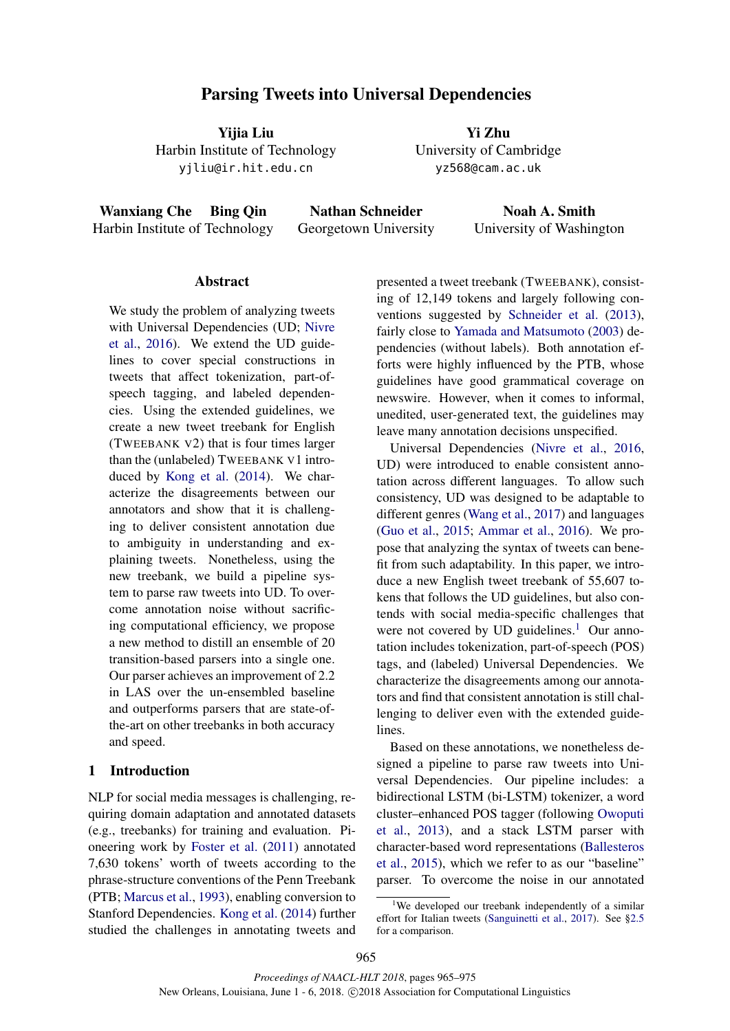# Parsing Tweets into Universal Dependencies

Yijia Liu Harbin Institute of Technology yjliu@ir.hit.edu.cn

Yi Zhu University of Cambridge yz568@cam.ac.uk

Wanxiang Che Bing Qin Harbin Institute of Technology

Nathan Schneider Georgetown University

Noah A. Smith University of Washington

## Abstract

We study the problem of analyzing tweets with Universal Dependencies (UD; Nivre et al., 2016). We extend the UD guidelines to cover special constructions in tweets that affect tokenization, part-ofspeech tagging, and labeled dependencies. Using the extended guidelines, we create a new tweet treebank for English (TWEEBANK V2) that is four times larger than the (unlabeled) TWEEBANK V1 introduced by Kong et al. (2014). We characterize the disagreements between our annotators and show that it is challenging to deliver consistent annotation due to ambiguity in understanding and explaining tweets. Nonetheless, using the new treebank, we build a pipeline system to parse raw tweets into UD. To overcome annotation noise without sacrificing computational efficiency, we propose a new method to distill an ensemble of 20 transition-based parsers into a single one. Our parser achieves an improvement of 2.2 in LAS over the un-ensembled baseline and outperforms parsers that are state-ofthe-art on other treebanks in both accuracy and speed.

## 1 Introduction

NLP for social media messages is challenging, requiring domain adaptation and annotated datasets (e.g., treebanks) for training and evaluation. Pioneering work by Foster et al. (2011) annotated 7,630 tokens' worth of tweets according to the phrase-structure conventions of the Penn Treebank (PTB; Marcus et al., 1993), enabling conversion to Stanford Dependencies. Kong et al. (2014) further studied the challenges in annotating tweets and presented a tweet treebank (TWEEBANK), consisting of 12,149 tokens and largely following conventions suggested by Schneider et al. (2013), fairly close to Yamada and Matsumoto (2003) dependencies (without labels). Both annotation efforts were highly influenced by the PTB, whose guidelines have good grammatical coverage on newswire. However, when it comes to informal, unedited, user-generated text, the guidelines may leave many annotation decisions unspecified.

Universal Dependencies (Nivre et al., 2016, UD) were introduced to enable consistent annotation across different languages. To allow such consistency, UD was designed to be adaptable to different genres (Wang et al., 2017) and languages (Guo et al., 2015; Ammar et al., 2016). We propose that analyzing the syntax of tweets can benefit from such adaptability. In this paper, we introduce a new English tweet treebank of 55,607 tokens that follows the UD guidelines, but also contends with social media-specific challenges that were not covered by UD guidelines.<sup>1</sup> Our annotation includes tokenization, part-of-speech (POS) tags, and (labeled) Universal Dependencies. We characterize the disagreements among our annotators and find that consistent annotation is still challenging to deliver even with the extended guidelines.

Based on these annotations, we nonetheless designed a pipeline to parse raw tweets into Universal Dependencies. Our pipeline includes: a bidirectional LSTM (bi-LSTM) tokenizer, a word cluster–enhanced POS tagger (following Owoputi et al., 2013), and a stack LSTM parser with character-based word representations (Ballesteros et al., 2015), which we refer to as our "baseline" parser. To overcome the noise in our annotated

<sup>1</sup>We developed our treebank independently of a similar effort for Italian tweets (Sanguinetti et al., 2017). See §2.5 for a comparison.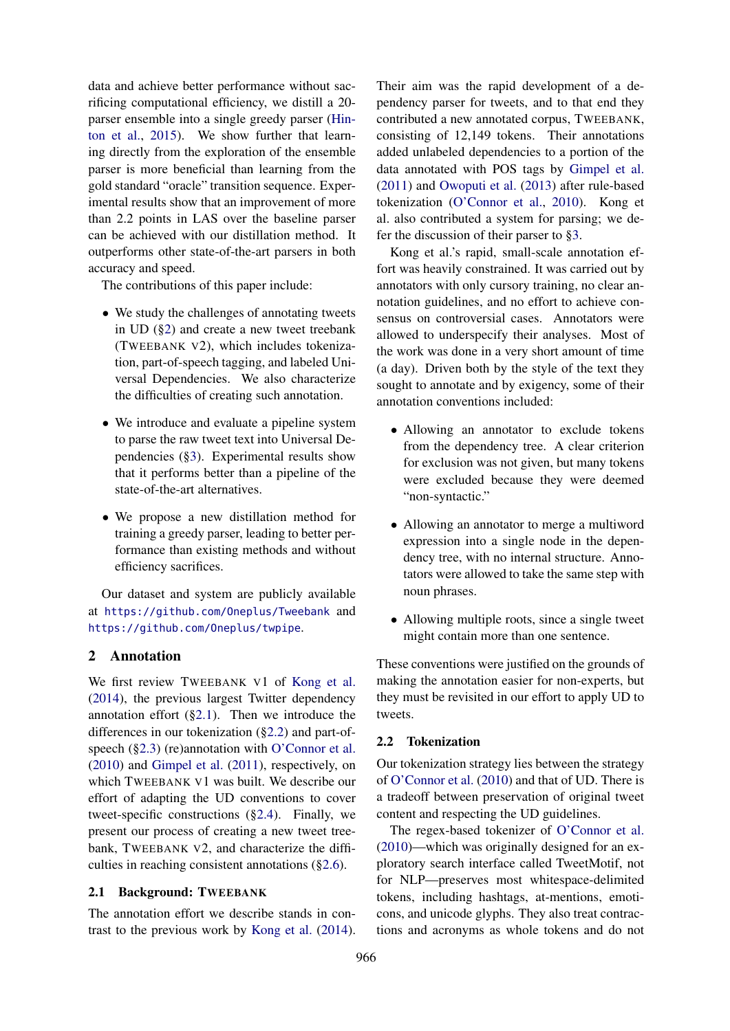data and achieve better performance without sacrificing computational efficiency, we distill a 20 parser ensemble into a single greedy parser (Hinton et al., 2015). We show further that learning directly from the exploration of the ensemble parser is more beneficial than learning from the gold standard "oracle" transition sequence. Experimental results show that an improvement of more than 2.2 points in LAS over the baseline parser can be achieved with our distillation method. It outperforms other state-of-the-art parsers in both accuracy and speed.

The contributions of this paper include:

- We study the challenges of annotating tweets in UD (§2) and create a new tweet treebank (TWEEBANK V2), which includes tokenization, part-of-speech tagging, and labeled Universal Dependencies. We also characterize the difficulties of creating such annotation.
- We introduce and evaluate a pipeline system to parse the raw tweet text into Universal Dependencies (§3). Experimental results show that it performs better than a pipeline of the state-of-the-art alternatives.
- We propose a new distillation method for training a greedy parser, leading to better performance than existing methods and without efficiency sacrifices.

Our dataset and system are publicly available at https://github.com/Oneplus/Tweebank and https://github.com/Oneplus/twpipe.

## 2 Annotation

We first review TWEEBANK V1 of Kong et al. (2014), the previous largest Twitter dependency annotation effort  $(\S 2.1)$ . Then we introduce the differences in our tokenization (§2.2) and part-ofspeech (§2.3) (re)annotation with O'Connor et al. (2010) and Gimpel et al. (2011), respectively, on which TWEEBANK V1 was built. We describe our effort of adapting the UD conventions to cover tweet-specific constructions (§2.4). Finally, we present our process of creating a new tweet treebank, TWEEBANK V2, and characterize the difficulties in reaching consistent annotations (§2.6).

#### 2.1 Background: TWEEBANK

The annotation effort we describe stands in contrast to the previous work by Kong et al. (2014).

Their aim was the rapid development of a dependency parser for tweets, and to that end they contributed a new annotated corpus, TWEEBANK, consisting of 12,149 tokens. Their annotations added unlabeled dependencies to a portion of the data annotated with POS tags by Gimpel et al. (2011) and Owoputi et al. (2013) after rule-based tokenization (O'Connor et al., 2010). Kong et al. also contributed a system for parsing; we defer the discussion of their parser to §3.

Kong et al.'s rapid, small-scale annotation effort was heavily constrained. It was carried out by annotators with only cursory training, no clear annotation guidelines, and no effort to achieve consensus on controversial cases. Annotators were allowed to underspecify their analyses. Most of the work was done in a very short amount of time (a day). Driven both by the style of the text they sought to annotate and by exigency, some of their annotation conventions included:

- Allowing an annotator to exclude tokens from the dependency tree. A clear criterion for exclusion was not given, but many tokens were excluded because they were deemed "non-syntactic."
- Allowing an annotator to merge a multiword expression into a single node in the dependency tree, with no internal structure. Annotators were allowed to take the same step with noun phrases.
- Allowing multiple roots, since a single tweet might contain more than one sentence.

These conventions were justified on the grounds of making the annotation easier for non-experts, but they must be revisited in our effort to apply UD to tweets.

#### 2.2 Tokenization

Our tokenization strategy lies between the strategy of O'Connor et al. (2010) and that of UD. There is a tradeoff between preservation of original tweet content and respecting the UD guidelines.

The regex-based tokenizer of O'Connor et al. (2010)—which was originally designed for an exploratory search interface called TweetMotif, not for NLP—preserves most whitespace-delimited tokens, including hashtags, at-mentions, emoticons, and unicode glyphs. They also treat contractions and acronyms as whole tokens and do not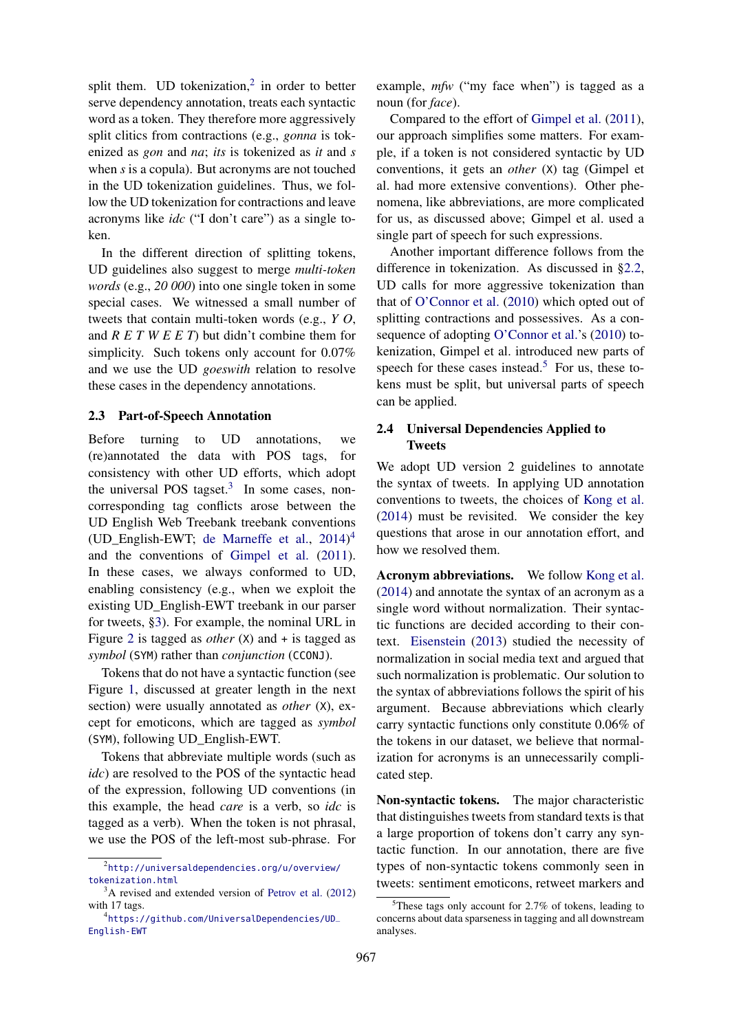split them. UD tokenization,<sup>2</sup> in order to better serve dependency annotation, treats each syntactic word as a token. They therefore more aggressively split clitics from contractions (e.g., *gonna* is tokenized as *gon* and *na*; *its* is tokenized as *it* and *s* when *s* is a copula). But acronyms are not touched in the UD tokenization guidelines. Thus, we follow the UD tokenization for contractions and leave acronyms like *idc* ("I don't care") as a single token.

In the different direction of splitting tokens, UD guidelines also suggest to merge *multi-token words* (e.g., *20 000*) into one single token in some special cases. We witnessed a small number of tweets that contain multi-token words (e.g., *Y O*, and *R E T W E E T*) but didn't combine them for simplicity. Such tokens only account for 0.07% and we use the UD *goeswith* relation to resolve these cases in the dependency annotations.

#### 2.3 Part-of-Speech Annotation

Before turning to UD annotations, we (re)annotated the data with POS tags, for consistency with other UD efforts, which adopt the universal POS tagset. $3$  In some cases, noncorresponding tag conflicts arose between the UD English Web Treebank treebank conventions (UD\_English-EWT; de Marneffe et al., 2014) 4 and the conventions of Gimpel et al. (2011). In these cases, we always conformed to UD, enabling consistency (e.g., when we exploit the existing UD\_English-EWT treebank in our parser for tweets, §3). For example, the nominal URL in Figure 2 is tagged as *other* (X) and + is tagged as *symbol* (SYM) rather than *conjunction* (CCONJ).

Tokens that do not have a syntactic function (see Figure 1, discussed at greater length in the next section) were usually annotated as *other* (X), except for emoticons, which are tagged as *symbol* (SYM), following UD\_English-EWT.

Tokens that abbreviate multiple words (such as *idc*) are resolved to the POS of the syntactic head of the expression, following UD conventions (in this example, the head *care* is a verb, so *idc* is tagged as a verb). When the token is not phrasal, we use the POS of the left-most sub-phrase. For

example, *mfw* ("my face when") is tagged as a noun (for *face*).

Compared to the effort of Gimpel et al. (2011), our approach simplifies some matters. For example, if a token is not considered syntactic by UD conventions, it gets an *other* (X) tag (Gimpel et al. had more extensive conventions). Other phenomena, like abbreviations, are more complicated for us, as discussed above; Gimpel et al. used a single part of speech for such expressions.

Another important difference follows from the difference in tokenization. As discussed in §2.2, UD calls for more aggressive tokenization than that of O'Connor et al. (2010) which opted out of splitting contractions and possessives. As a consequence of adopting O'Connor et al.'s (2010) tokenization, Gimpel et al. introduced new parts of speech for these cases instead.<sup>5</sup> For us, these tokens must be split, but universal parts of speech can be applied.

## 2.4 Universal Dependencies Applied to Tweets

We adopt UD version 2 guidelines to annotate the syntax of tweets. In applying UD annotation conventions to tweets, the choices of Kong et al. (2014) must be revisited. We consider the key questions that arose in our annotation effort, and how we resolved them.

Acronym abbreviations. We follow Kong et al. (2014) and annotate the syntax of an acronym as a single word without normalization. Their syntactic functions are decided according to their context. Eisenstein (2013) studied the necessity of normalization in social media text and argued that such normalization is problematic. Our solution to the syntax of abbreviations follows the spirit of his argument. Because abbreviations which clearly carry syntactic functions only constitute 0.06% of the tokens in our dataset, we believe that normalization for acronyms is an unnecessarily complicated step.

Non-syntactic tokens. The major characteristic that distinguishes tweets from standard texts is that a large proportion of tokens don't carry any syntactic function. In our annotation, there are five types of non-syntactic tokens commonly seen in tweets: sentiment emoticons, retweet markers and

<sup>2</sup> http://universaldependencies.org/u/overview/ tokenization.html

<sup>&</sup>lt;sup>3</sup>A revised and extended version of Petrov et al. (2012) with 17 tags.

<sup>4</sup> https://github.com/UniversalDependencies/UD\_ English-EWT

 $5$ These tags only account for 2.7% of tokens, leading to concerns about data sparseness in tagging and all downstream analyses.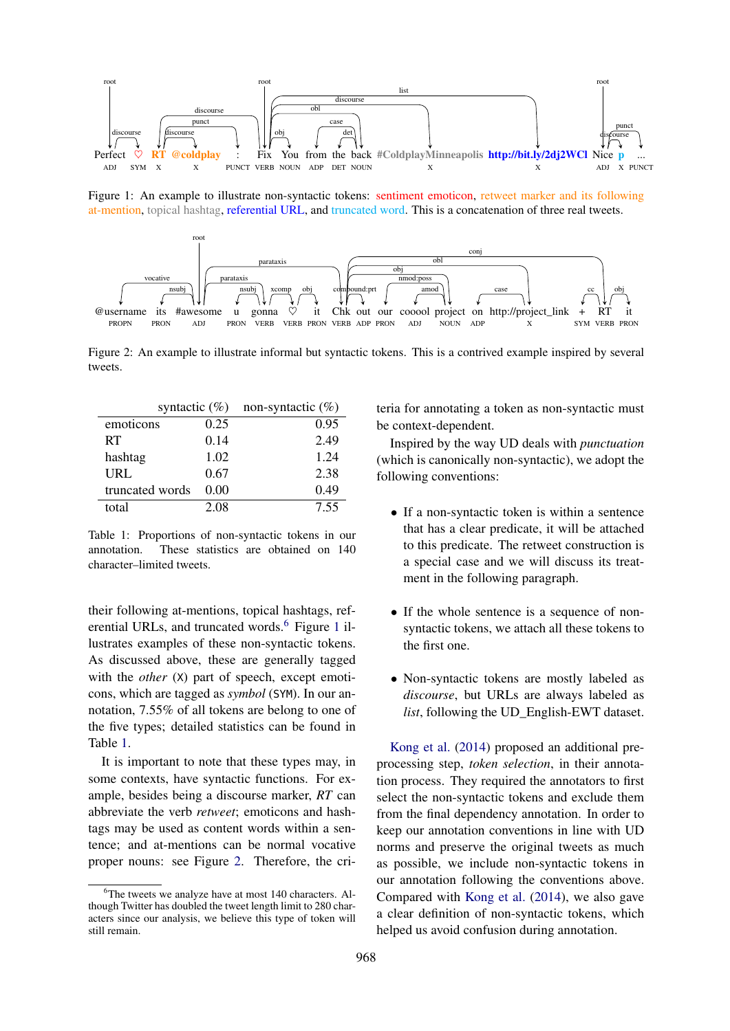

Figure 1: An example to illustrate non-syntactic tokens: sentiment emoticon, retweet marker and its following at-mention, topical hashtag, referential URL, and truncated word. This is a concatenation of three real tweets.



Figure 2: An example to illustrate informal but syntactic tokens. This is a contrived example inspired by several tweets.

| syntactic $(\%)$ |      | non-syntactic $(\%)$ |
|------------------|------|----------------------|
| emoticons        | 0.25 | 0.95                 |
| RT               | 0.14 | 2.49                 |
| hashtag          | 1.02 | 1.24                 |
| URL              | 0.67 | 2.38                 |
| truncated words  | 0.00 | 0.49                 |
| total            | 2.08 | 7.55                 |

Table 1: Proportions of non-syntactic tokens in our annotation. These statistics are obtained on 140 character–limited tweets.

their following at-mentions, topical hashtags, referential URLs, and truncated words.<sup>6</sup> Figure 1 illustrates examples of these non-syntactic tokens. As discussed above, these are generally tagged with the *other* (X) part of speech, except emoticons, which are tagged as *symbol* (SYM). In our annotation, 7.55% of all tokens are belong to one of the five types; detailed statistics can be found in Table 1.

It is important to note that these types may, in some contexts, have syntactic functions. For example, besides being a discourse marker, *RT* can abbreviate the verb *retweet*; emoticons and hashtags may be used as content words within a sentence; and at-mentions can be normal vocative proper nouns: see Figure 2. Therefore, the criteria for annotating a token as non-syntactic must be context-dependent.

Inspired by the way UD deals with *punctuation* (which is canonically non-syntactic), we adopt the following conventions:

- If a non-syntactic token is within a sentence that has a clear predicate, it will be attached to this predicate. The retweet construction is a special case and we will discuss its treatment in the following paragraph.
- If the whole sentence is a sequence of nonsyntactic tokens, we attach all these tokens to the first one.
- Non-syntactic tokens are mostly labeled as *discourse*, but URLs are always labeled as *list*, following the UD\_English-EWT dataset.

Kong et al. (2014) proposed an additional preprocessing step, *token selection*, in their annotation process. They required the annotators to first select the non-syntactic tokens and exclude them from the final dependency annotation. In order to keep our annotation conventions in line with UD norms and preserve the original tweets as much as possible, we include non-syntactic tokens in our annotation following the conventions above. Compared with Kong et al. (2014), we also gave a clear definition of non-syntactic tokens, which helped us avoid confusion during annotation.

 $6$ The tweets we analyze have at most 140 characters. Although Twitter has doubled the tweet length limit to 280 characters since our analysis, we believe this type of token will still remain.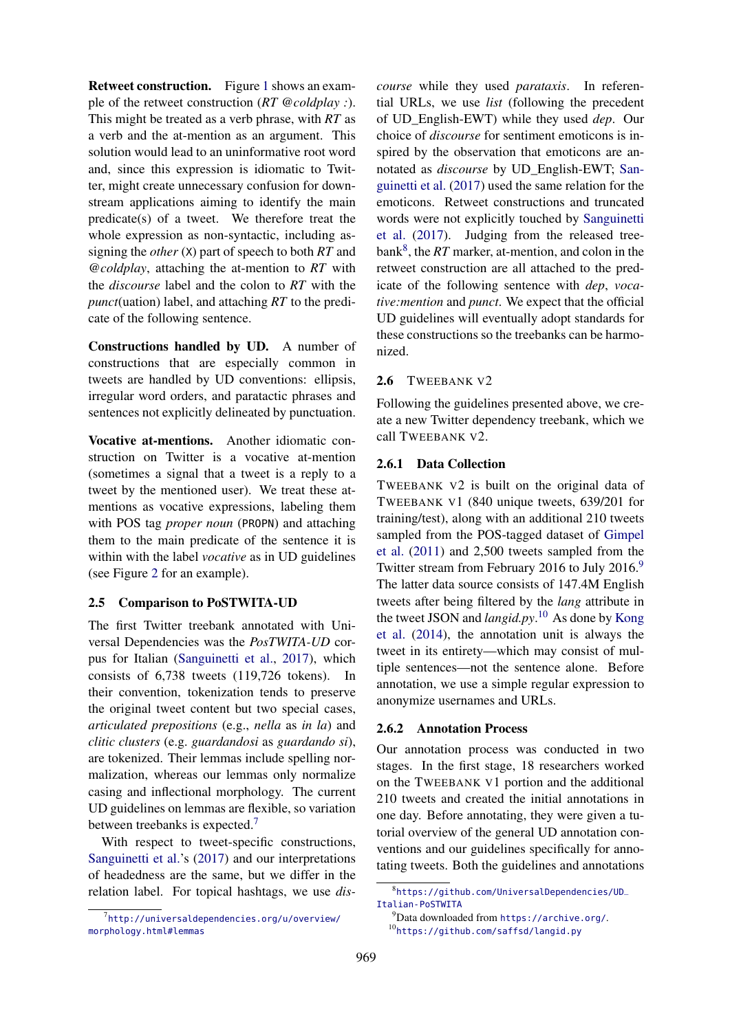Retweet construction. Figure 1 shows an example of the retweet construction (*RT @coldplay :*). This might be treated as a verb phrase, with *RT* as a verb and the at-mention as an argument. This solution would lead to an uninformative root word and, since this expression is idiomatic to Twitter, might create unnecessary confusion for downstream applications aiming to identify the main predicate(s) of a tweet. We therefore treat the whole expression as non-syntactic, including assigning the *other* (X) part of speech to both *RT* and *@coldplay*, attaching the at-mention to *RT* with the *discourse* label and the colon to *RT* with the *punct*(uation) label, and attaching *RT* to the predicate of the following sentence.

Constructions handled by UD. A number of constructions that are especially common in tweets are handled by UD conventions: ellipsis, irregular word orders, and paratactic phrases and sentences not explicitly delineated by punctuation.

Vocative at-mentions. Another idiomatic construction on Twitter is a vocative at-mention (sometimes a signal that a tweet is a reply to a tweet by the mentioned user). We treat these atmentions as vocative expressions, labeling them with POS tag *proper noun* (PROPN) and attaching them to the main predicate of the sentence it is within with the label *vocative* as in UD guidelines (see Figure 2 for an example).

### 2.5 Comparison to PoSTWITA-UD

The first Twitter treebank annotated with Universal Dependencies was the *PosTWITA-UD* corpus for Italian (Sanguinetti et al., 2017), which consists of 6,738 tweets (119,726 tokens). In their convention, tokenization tends to preserve the original tweet content but two special cases, *articulated prepositions* (e.g., *nella* as *in la*) and *clitic clusters* (e.g. *guardandosi* as *guardando si*), are tokenized. Their lemmas include spelling normalization, whereas our lemmas only normalize casing and inflectional morphology. The current UD guidelines on lemmas are flexible, so variation between treebanks is expected.<sup>7</sup>

With respect to tweet-specific constructions, Sanguinetti et al.'s (2017) and our interpretations of headedness are the same, but we differ in the relation label. For topical hashtags, we use *dis-* *course* while they used *parataxis*. In referential URLs, we use *list* (following the precedent of UD\_English-EWT) while they used *dep*. Our choice of *discourse* for sentiment emoticons is inspired by the observation that emoticons are annotated as *discourse* by UD\_English-EWT; Sanguinetti et al. (2017) used the same relation for the emoticons. Retweet constructions and truncated words were not explicitly touched by Sanguinetti et al. (2017). Judging from the released treebank<sup>8</sup>, the *RT* marker, at-mention, and colon in the retweet construction are all attached to the predicate of the following sentence with *dep*, *vocative:mention* and *punct*. We expect that the official UD guidelines will eventually adopt standards for these constructions so the treebanks can be harmonized.

### 2.6 TWEEBANK V2

Following the guidelines presented above, we create a new Twitter dependency treebank, which we call TWEEBANK V2.

### 2.6.1 Data Collection

TWEEBANK V2 is built on the original data of TWEEBANK V1 (840 unique tweets, 639/201 for training/test), along with an additional 210 tweets sampled from the POS-tagged dataset of Gimpel et al. (2011) and 2,500 tweets sampled from the Twitter stream from February 2016 to July 2016.<sup>9</sup> The latter data source consists of 147.4M English tweets after being filtered by the *lang* attribute in the tweet JSON and *langid.py*. <sup>10</sup> As done by Kong et al. (2014), the annotation unit is always the tweet in its entirety—which may consist of multiple sentences—not the sentence alone. Before annotation, we use a simple regular expression to anonymize usernames and URLs.

### 2.6.2 Annotation Process

Our annotation process was conducted in two stages. In the first stage, 18 researchers worked on the TWEEBANK V1 portion and the additional 210 tweets and created the initial annotations in one day. Before annotating, they were given a tutorial overview of the general UD annotation conventions and our guidelines specifically for annotating tweets. Both the guidelines and annotations

<sup>7</sup> http://universaldependencies.org/u/overview/ morphology.html#lemmas

<sup>8</sup> https://github.com/UniversalDependencies/UD\_ Italian-PoSTWITA

 $^{9}$ Data downloaded from https://archive.org/. <sup>10</sup>https://github.com/saffsd/langid.py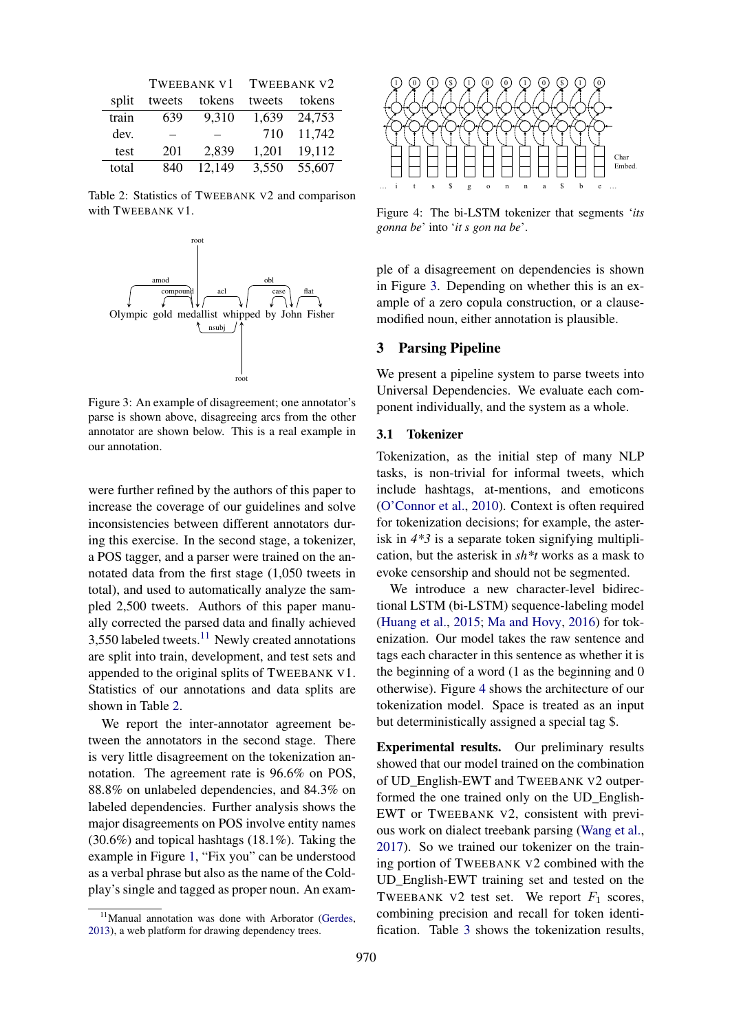|       | <b>TWEEBANK V1</b> |        | <b>TWEEBANK V2</b> |        |
|-------|--------------------|--------|--------------------|--------|
| split | tweets             | tokens | tweets             | tokens |
| train | 639                | 9,310  | 1,639              | 24,753 |
| dev.  |                    |        | 710                | 11,742 |
| test  | 201                | 2,839  | 1,201              | 19,112 |
| total | 840                | 12,149 | 3,550              | 55,607 |

Table 2: Statistics of TWEEBANK V2 and comparison with TWEEBANK V1.



Figure 3: An example of disagreement; one annotator's parse is shown above, disagreeing arcs from the other annotator are shown below. This is a real example in our annotation.

were further refined by the authors of this paper to increase the coverage of our guidelines and solve inconsistencies between different annotators during this exercise. In the second stage, a tokenizer, a POS tagger, and a parser were trained on the annotated data from the first stage (1,050 tweets in total), and used to automatically analyze the sampled 2,500 tweets. Authors of this paper manually corrected the parsed data and finally achieved  $3,550$  labeled tweets.<sup>11</sup> Newly created annotations are split into train, development, and test sets and appended to the original splits of TWEEBANK V1. Statistics of our annotations and data splits are shown in Table 2.

We report the inter-annotator agreement between the annotators in the second stage. There is very little disagreement on the tokenization annotation. The agreement rate is 96.6% on POS, 88.8% on unlabeled dependencies, and 84.3% on labeled dependencies. Further analysis shows the major disagreements on POS involve entity names (30.6%) and topical hashtags (18.1%). Taking the example in Figure 1, "Fix you" can be understood as a verbal phrase but also as the name of the Coldplay's single and tagged as proper noun. An exam-



Figure 4: The bi-LSTM tokenizer that segments '*its gonna be*' into '*it s gon na be*'.

ple of a disagreement on dependencies is shown in Figure 3. Depending on whether this is an example of a zero copula construction, or a clausemodified noun, either annotation is plausible.

## 3 Parsing Pipeline

We present a pipeline system to parse tweets into Universal Dependencies. We evaluate each component individually, and the system as a whole.

## 3.1 Tokenizer

Tokenization, as the initial step of many NLP tasks, is non-trivial for informal tweets, which include hashtags, at-mentions, and emoticons (O'Connor et al., 2010). Context is often required for tokenization decisions; for example, the asterisk in *4\*3* is a separate token signifying multiplication, but the asterisk in *sh\*t* works as a mask to evoke censorship and should not be segmented.

We introduce a new character-level bidirectional LSTM (bi-LSTM) sequence-labeling model (Huang et al., 2015; Ma and Hovy, 2016) for tokenization. Our model takes the raw sentence and tags each character in this sentence as whether it is the beginning of a word (1 as the beginning and 0 otherwise). Figure 4 shows the architecture of our tokenization model. Space is treated as an input but deterministically assigned a special tag \$.

Experimental results. Our preliminary results showed that our model trained on the combination of UD\_English-EWT and TWEEBANK V2 outperformed the one trained only on the UD\_English-EWT or TWEEBANK V2, consistent with previous work on dialect treebank parsing (Wang et al., 2017). So we trained our tokenizer on the training portion of TWEEBANK V2 combined with the UD\_English-EWT training set and tested on the TWEEBANK V2 test set. We report  $F_1$  scores, combining precision and recall for token identification. Table 3 shows the tokenization results,

<sup>&</sup>lt;sup>11</sup>Manual annotation was done with Arborator (Gerdes, 2013), a web platform for drawing dependency trees.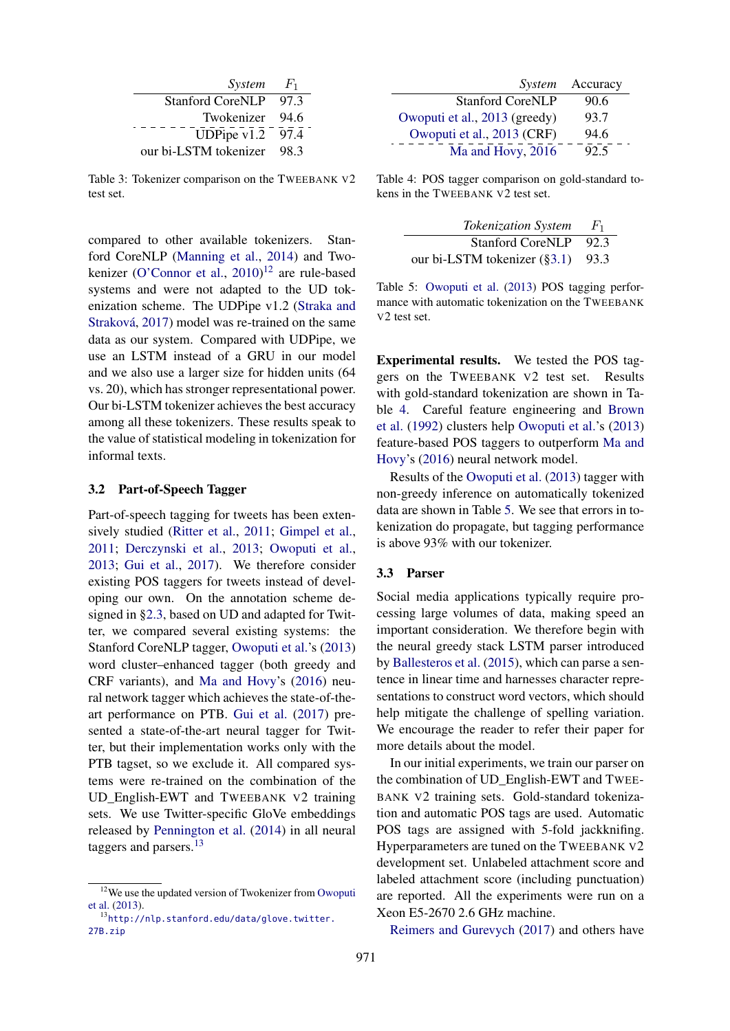| System                  | $F_1$ |
|-------------------------|-------|
| <b>Stanford CoreNLP</b> | 97.3  |
| Twokenizer              | 94.6  |
| UDPipe $v1.2$           | 97.4  |
| our bi-LSTM tokenizer   | 98.3  |

Table 3: Tokenizer comparison on the TWEEBANK V2 test set.

compared to other available tokenizers. Stanford CoreNLP (Manning et al., 2014) and Twokenizer (O'Connor et al., 2010)<sup>12</sup> are rule-based systems and were not adapted to the UD tokenization scheme. The UDPipe v1.2 (Straka and Straková, 2017) model was re-trained on the same data as our system. Compared with UDPipe, we use an LSTM instead of a GRU in our model and we also use a larger size for hidden units (64 vs. 20), which has stronger representational power. Our bi-LSTM tokenizer achieves the best accuracy among all these tokenizers. These results speak to the value of statistical modeling in tokenization for informal texts.

### 3.2 Part-of-Speech Tagger

Part-of-speech tagging for tweets has been extensively studied (Ritter et al., 2011; Gimpel et al., 2011; Derczynski et al., 2013; Owoputi et al., 2013; Gui et al., 2017). We therefore consider existing POS taggers for tweets instead of developing our own. On the annotation scheme designed in §2.3, based on UD and adapted for Twitter, we compared several existing systems: the Stanford CoreNLP tagger, Owoputi et al.'s (2013) word cluster–enhanced tagger (both greedy and CRF variants), and Ma and Hovy's (2016) neural network tagger which achieves the state-of-theart performance on PTB. Gui et al. (2017) presented a state-of-the-art neural tagger for Twitter, but their implementation works only with the PTB tagset, so we exclude it. All compared systems were re-trained on the combination of the UD\_English-EWT and TWEEBANK V2 training sets. We use Twitter-specific GloVe embeddings released by Pennington et al. (2014) in all neural taggers and parsers.<sup>13</sup>

|                               | System Accuracy |
|-------------------------------|-----------------|
| <b>Stanford CoreNLP</b>       | 90.6            |
| Owoputi et al., 2013 (greedy) | 93.7            |
| Owoputi et al., 2013 (CRF)    | 94.6            |
| Ma and Hovy, 2016             | 92.5            |

Table 4: POS tagger comparison on gold-standard tokens in the TWEEBANK V2 test set.

| <b>Tokenization System</b>            | $F_1$ |
|---------------------------------------|-------|
| <b>Stanford CoreNLP</b>               | -92.3 |
| our bi-LSTM tokenizer $(\S 3.1)$ 93.3 |       |

Table 5: Owoputi et al. (2013) POS tagging performance with automatic tokenization on the TWEEBANK V2 test set.

Experimental results. We tested the POS taggers on the TWEEBANK V2 test set. Results with gold-standard tokenization are shown in Table 4. Careful feature engineering and Brown et al. (1992) clusters help Owoputi et al.'s (2013) feature-based POS taggers to outperform Ma and Hovy's (2016) neural network model.

Results of the Owoputi et al. (2013) tagger with non-greedy inference on automatically tokenized data are shown in Table 5. We see that errors in tokenization do propagate, but tagging performance is above 93% with our tokenizer.

### 3.3 Parser

Social media applications typically require processing large volumes of data, making speed an important consideration. We therefore begin with the neural greedy stack LSTM parser introduced by Ballesteros et al. (2015), which can parse a sentence in linear time and harnesses character representations to construct word vectors, which should help mitigate the challenge of spelling variation. We encourage the reader to refer their paper for more details about the model.

In our initial experiments, we train our parser on the combination of UD\_English-EWT and TWEE-BANK V2 training sets. Gold-standard tokenization and automatic POS tags are used. Automatic POS tags are assigned with 5-fold jackknifing. Hyperparameters are tuned on the TWEEBANK V2 development set. Unlabeled attachment score and labeled attachment score (including punctuation) are reported. All the experiments were run on a Xeon E5-2670 2.6 GHz machine.

Reimers and Gurevych (2017) and others have

<sup>12</sup>We use the updated version of Twokenizer from Owoputi et al. (2013).

<sup>13</sup>http://nlp.stanford.edu/data/glove.twitter. 27B.zip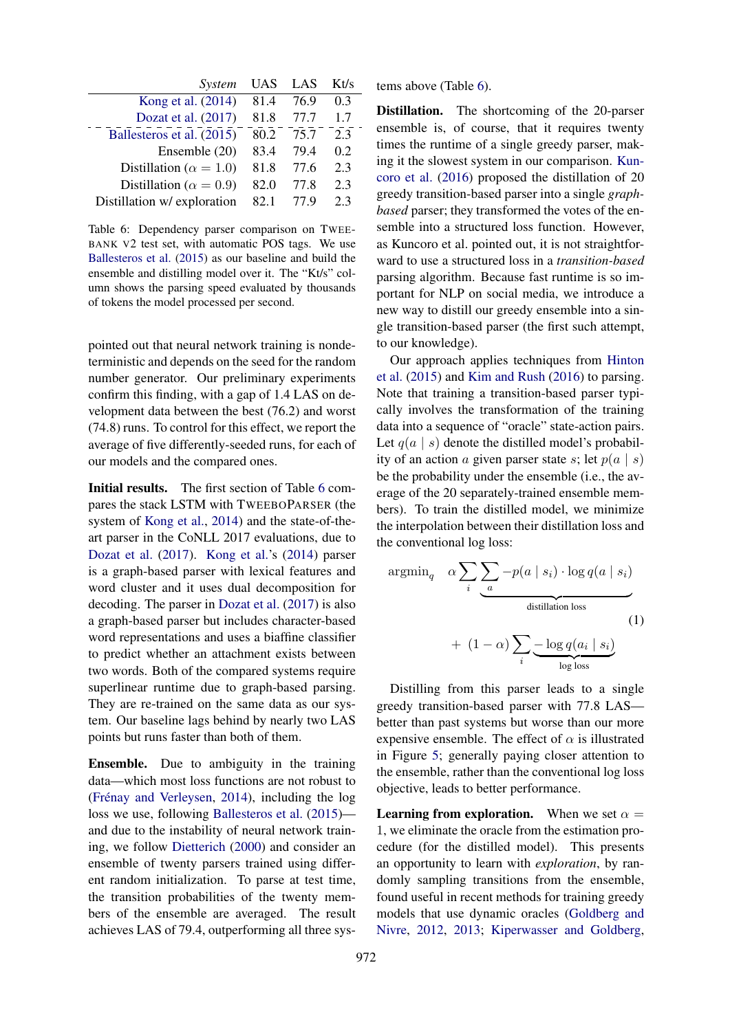| System                          | <b>UAS</b> | LAS  | Kt/s |
|---------------------------------|------------|------|------|
| Kong et al. (2014)              | 81.4       | 76.9 | 0.3  |
| Dozat et al. (2017)             | 81.8       | 77.7 | 1.7  |
| Ballesteros et al. (2015)       | 80.2       | 75.7 | 2.3  |
| Ensemble (20)                   | 83.4       | 79.4 | 0.2  |
| Distillation ( $\alpha = 1.0$ ) | 81.8       | 77.6 | 2.3  |
| Distillation ( $\alpha = 0.9$ ) | 82.0       | 77.8 | 2.3  |
| Distillation w/ exploration     | 82.1       | 77.9 | 2.3  |

Table 6: Dependency parser comparison on TWEE-BANK V2 test set, with automatic POS tags. We use Ballesteros et al. (2015) as our baseline and build the ensemble and distilling model over it. The "Kt/s" column shows the parsing speed evaluated by thousands of tokens the model processed per second.

pointed out that neural network training is nondeterministic and depends on the seed for the random number generator. Our preliminary experiments confirm this finding, with a gap of 1.4 LAS on development data between the best (76.2) and worst (74.8) runs. To control for this effect, we report the average of five differently-seeded runs, for each of our models and the compared ones.

Initial results. The first section of Table 6 compares the stack LSTM with TWEEBOPARSER (the system of Kong et al., 2014) and the state-of-theart parser in the CoNLL 2017 evaluations, due to Dozat et al. (2017). Kong et al.'s (2014) parser is a graph-based parser with lexical features and word cluster and it uses dual decomposition for decoding. The parser in Dozat et al. (2017) is also a graph-based parser but includes character-based word representations and uses a biaffine classifier to predict whether an attachment exists between two words. Both of the compared systems require superlinear runtime due to graph-based parsing. They are re-trained on the same data as our system. Our baseline lags behind by nearly two LAS points but runs faster than both of them.

Ensemble. Due to ambiguity in the training data—which most loss functions are not robust to (Frénay and Verleysen, 2014), including the log loss we use, following Ballesteros et al. (2015) and due to the instability of neural network training, we follow Dietterich (2000) and consider an ensemble of twenty parsers trained using different random initialization. To parse at test time, the transition probabilities of the twenty members of the ensemble are averaged. The result achieves LAS of 79.4, outperforming all three systems above (Table 6).

Distillation. The shortcoming of the 20-parser ensemble is, of course, that it requires twenty times the runtime of a single greedy parser, making it the slowest system in our comparison. Kuncoro et al. (2016) proposed the distillation of 20 greedy transition-based parser into a single *graphbased* parser; they transformed the votes of the ensemble into a structured loss function. However, as Kuncoro et al. pointed out, it is not straightforward to use a structured loss in a *transition-based* parsing algorithm. Because fast runtime is so important for NLP on social media, we introduce a new way to distill our greedy ensemble into a single transition-based parser (the first such attempt, to our knowledge).

Our approach applies techniques from Hinton et al. (2015) and Kim and Rush (2016) to parsing. Note that training a transition-based parser typically involves the transformation of the training data into a sequence of "oracle" state-action pairs. Let  $q(a \mid s)$  denote the distilled model's probability of an action a given parser state s; let  $p(a \mid s)$ be the probability under the ensemble (i.e., the average of the 20 separately-trained ensemble members). To train the distilled model, we minimize the interpolation between their distillation loss and the conventional log loss:

$$
\operatorname{argmin}_{q} \quad \alpha \sum_{i} \underbrace{\sum_{a} -p(a \mid s_{i}) \cdot \log q(a \mid s_{i})}_{\text{distillation loss}}
$$
\n
$$
+ (1 - \alpha) \sum_{i} \underbrace{-\log q(a_{i} \mid s_{i})}_{\text{log loss}}
$$
\n
$$
(1)
$$

Distilling from this parser leads to a single greedy transition-based parser with 77.8 LAS better than past systems but worse than our more expensive ensemble. The effect of  $\alpha$  is illustrated in Figure 5; generally paying closer attention to the ensemble, rather than the conventional log loss objective, leads to better performance.

**Learning from exploration.** When we set  $\alpha =$ 1, we eliminate the oracle from the estimation procedure (for the distilled model). This presents an opportunity to learn with *exploration*, by randomly sampling transitions from the ensemble, found useful in recent methods for training greedy models that use dynamic oracles (Goldberg and Nivre, 2012, 2013; Kiperwasser and Goldberg,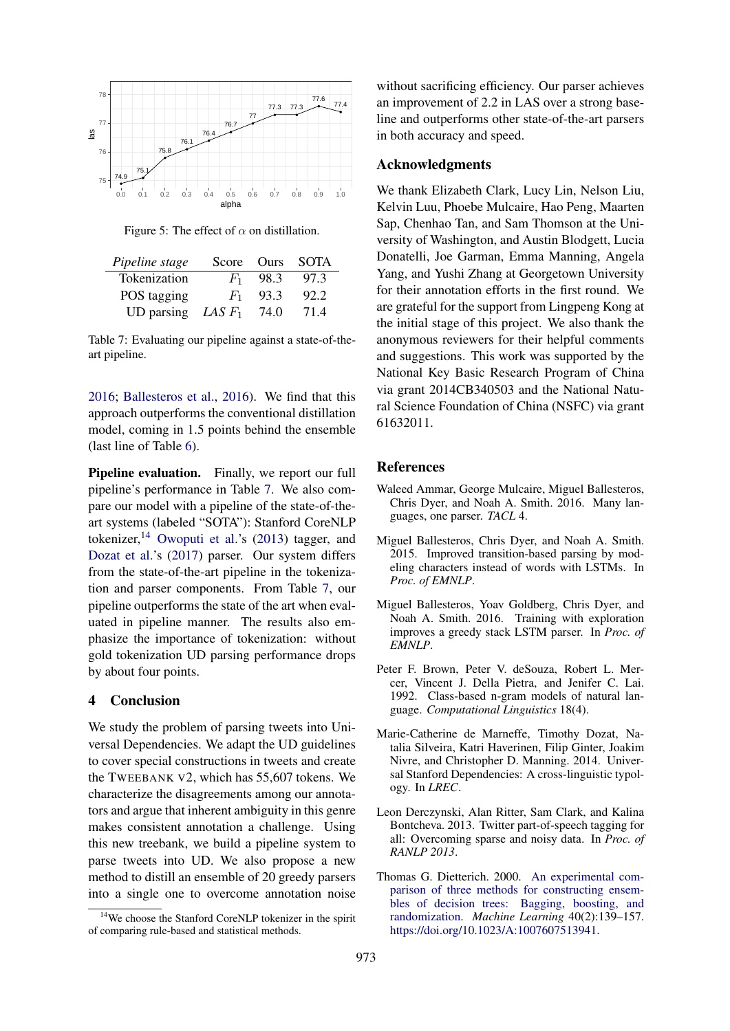

Figure 5: The effect of  $\alpha$  on distillation.

| Pipeline stage                       |         | Score Ours | SOTA |
|--------------------------------------|---------|------------|------|
| Tokenization                         | $F_{1}$ | 98.3       | 97.3 |
| POS tagging                          | $F_1$   | 93.3       | 92.2 |
| UD parsing <i>LAS F</i> <sub>1</sub> |         | 74.0       | 71.4 |

Table 7: Evaluating our pipeline against a state-of-theart pipeline.

2016; Ballesteros et al., 2016). We find that this approach outperforms the conventional distillation model, coming in 1.5 points behind the ensemble (last line of Table 6).

Pipeline evaluation. Finally, we report our full pipeline's performance in Table 7. We also compare our model with a pipeline of the state-of-theart systems (labeled "SOTA"): Stanford CoreNLP tokenizer,  $14$  Owoputi et al.'s (2013) tagger, and Dozat et al.'s (2017) parser. Our system differs from the state-of-the-art pipeline in the tokenization and parser components. From Table 7, our pipeline outperforms the state of the art when evaluated in pipeline manner. The results also emphasize the importance of tokenization: without gold tokenization UD parsing performance drops by about four points.

#### 4 Conclusion

We study the problem of parsing tweets into Universal Dependencies. We adapt the UD guidelines to cover special constructions in tweets and create the TWEEBANK V2, which has 55,607 tokens. We characterize the disagreements among our annotators and argue that inherent ambiguity in this genre makes consistent annotation a challenge. Using this new treebank, we build a pipeline system to parse tweets into UD. We also propose a new method to distill an ensemble of 20 greedy parsers into a single one to overcome annotation noise

without sacrificing efficiency. Our parser achieves an improvement of 2.2 in LAS over a strong baseline and outperforms other state-of-the-art parsers in both accuracy and speed.

#### Acknowledgments

We thank Elizabeth Clark, Lucy Lin, Nelson Liu, Kelvin Luu, Phoebe Mulcaire, Hao Peng, Maarten Sap, Chenhao Tan, and Sam Thomson at the University of Washington, and Austin Blodgett, Lucia Donatelli, Joe Garman, Emma Manning, Angela Yang, and Yushi Zhang at Georgetown University for their annotation efforts in the first round. We are grateful for the support from Lingpeng Kong at the initial stage of this project. We also thank the anonymous reviewers for their helpful comments and suggestions. This work was supported by the National Key Basic Research Program of China via grant 2014CB340503 and the National Natural Science Foundation of China (NSFC) via grant 61632011.

#### References

- Waleed Ammar, George Mulcaire, Miguel Ballesteros, Chris Dyer, and Noah A. Smith. 2016. Many languages, one parser. *TACL* 4.
- Miguel Ballesteros, Chris Dyer, and Noah A. Smith. 2015. Improved transition-based parsing by modeling characters instead of words with LSTMs. In *Proc. of EMNLP*.
- Miguel Ballesteros, Yoav Goldberg, Chris Dyer, and Noah A. Smith. 2016. Training with exploration improves a greedy stack LSTM parser. In *Proc. of EMNLP*.
- Peter F. Brown, Peter V. deSouza, Robert L. Mercer, Vincent J. Della Pietra, and Jenifer C. Lai. 1992. Class-based n-gram models of natural language. *Computational Linguistics* 18(4).
- Marie-Catherine de Marneffe, Timothy Dozat, Natalia Silveira, Katri Haverinen, Filip Ginter, Joakim Nivre, and Christopher D. Manning. 2014. Universal Stanford Dependencies: A cross-linguistic typology. In *LREC*.
- Leon Derczynski, Alan Ritter, Sam Clark, and Kalina Bontcheva. 2013. Twitter part-of-speech tagging for all: Overcoming sparse and noisy data. In *Proc. of RANLP 2013*.
- Thomas G. Dietterich. 2000. An experimental comparison of three methods for constructing ensembles of decision trees: Bagging, boosting, and randomization. *Machine Learning* 40(2):139–157. https://doi.org/10.1023/A:1007607513941.

<sup>&</sup>lt;sup>14</sup>We choose the Stanford CoreNLP tokenizer in the spirit of comparing rule-based and statistical methods.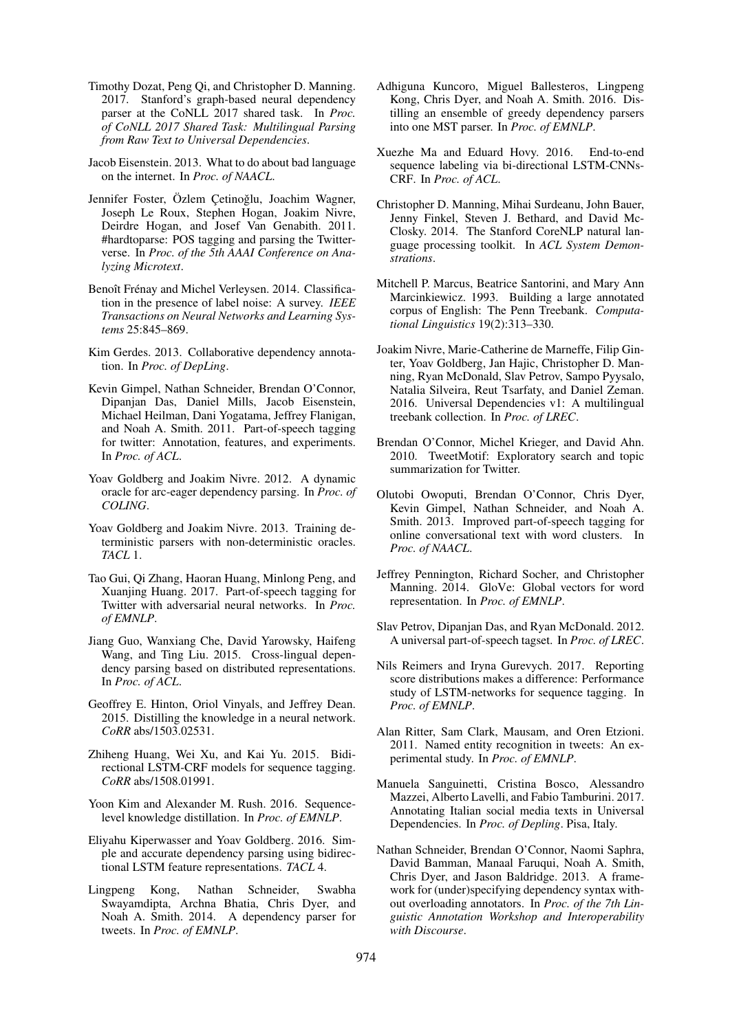- Timothy Dozat, Peng Qi, and Christopher D. Manning. 2017. Stanford's graph-based neural dependency parser at the CoNLL 2017 shared task. In *Proc. of CoNLL 2017 Shared Task: Multilingual Parsing from Raw Text to Universal Dependencies*.
- Jacob Eisenstein. 2013. What to do about bad language on the internet. In *Proc. of NAACL*.
- Jennifer Foster, Özlem Cetinoğlu, Joachim Wagner, Joseph Le Roux, Stephen Hogan, Joakim Nivre, Deirdre Hogan, and Josef Van Genabith. 2011. #hardtoparse: POS tagging and parsing the Twitterverse. In *Proc. of the 5th AAAI Conference on Analyzing Microtext*.
- Benoît Frénay and Michel Verleysen. 2014. Classification in the presence of label noise: A survey. *IEEE Transactions on Neural Networks and Learning Systems* 25:845–869.
- Kim Gerdes. 2013. Collaborative dependency annotation. In *Proc. of DepLing*.
- Kevin Gimpel, Nathan Schneider, Brendan O'Connor, Dipanjan Das, Daniel Mills, Jacob Eisenstein, Michael Heilman, Dani Yogatama, Jeffrey Flanigan, and Noah A. Smith. 2011. Part-of-speech tagging for twitter: Annotation, features, and experiments. In *Proc. of ACL*.
- Yoav Goldberg and Joakim Nivre. 2012. A dynamic oracle for arc-eager dependency parsing. In *Proc. of COLING*.
- Yoav Goldberg and Joakim Nivre. 2013. Training deterministic parsers with non-deterministic oracles. *TACL* 1.
- Tao Gui, Qi Zhang, Haoran Huang, Minlong Peng, and Xuanjing Huang. 2017. Part-of-speech tagging for Twitter with adversarial neural networks. In *Proc. of EMNLP*.
- Jiang Guo, Wanxiang Che, David Yarowsky, Haifeng Wang, and Ting Liu. 2015. Cross-lingual dependency parsing based on distributed representations. In *Proc. of ACL*.
- Geoffrey E. Hinton, Oriol Vinyals, and Jeffrey Dean. 2015. Distilling the knowledge in a neural network. *CoRR* abs/1503.02531.
- Zhiheng Huang, Wei Xu, and Kai Yu. 2015. Bidirectional LSTM-CRF models for sequence tagging. *CoRR* abs/1508.01991.
- Yoon Kim and Alexander M. Rush. 2016. Sequencelevel knowledge distillation. In *Proc. of EMNLP*.
- Eliyahu Kiperwasser and Yoav Goldberg. 2016. Simple and accurate dependency parsing using bidirectional LSTM feature representations. *TACL* 4.
- Lingpeng Kong, Nathan Schneider, Swabha Swayamdipta, Archna Bhatia, Chris Dyer, and Noah A. Smith. 2014. A dependency parser for tweets. In *Proc. of EMNLP*.
- Adhiguna Kuncoro, Miguel Ballesteros, Lingpeng Kong, Chris Dyer, and Noah A. Smith. 2016. Distilling an ensemble of greedy dependency parsers into one MST parser. In *Proc. of EMNLP*.
- Xuezhe Ma and Eduard Hovy. 2016. End-to-end sequence labeling via bi-directional LSTM-CNNs-CRF. In *Proc. of ACL*.
- Christopher D. Manning, Mihai Surdeanu, John Bauer, Jenny Finkel, Steven J. Bethard, and David Mc-Closky. 2014. The Stanford CoreNLP natural language processing toolkit. In *ACL System Demonstrations*.
- Mitchell P. Marcus, Beatrice Santorini, and Mary Ann Marcinkiewicz. 1993. Building a large annotated corpus of English: The Penn Treebank. *Computational Linguistics* 19(2):313–330.
- Joakim Nivre, Marie-Catherine de Marneffe, Filip Ginter, Yoav Goldberg, Jan Hajic, Christopher D. Manning, Ryan McDonald, Slav Petrov, Sampo Pyysalo, Natalia Silveira, Reut Tsarfaty, and Daniel Zeman. 2016. Universal Dependencies v1: A multilingual treebank collection. In *Proc. of LREC*.
- Brendan O'Connor, Michel Krieger, and David Ahn. 2010. TweetMotif: Exploratory search and topic summarization for Twitter.
- Olutobi Owoputi, Brendan O'Connor, Chris Dyer, Kevin Gimpel, Nathan Schneider, and Noah A. Smith. 2013. Improved part-of-speech tagging for online conversational text with word clusters. In *Proc. of NAACL*.
- Jeffrey Pennington, Richard Socher, and Christopher Manning. 2014. GloVe: Global vectors for word representation. In *Proc. of EMNLP*.
- Slav Petrov, Dipanjan Das, and Ryan McDonald. 2012. A universal part-of-speech tagset. In *Proc. of LREC*.
- Nils Reimers and Iryna Gurevych. 2017. Reporting score distributions makes a difference: Performance study of LSTM-networks for sequence tagging. In *Proc. of EMNLP*.
- Alan Ritter, Sam Clark, Mausam, and Oren Etzioni. 2011. Named entity recognition in tweets: An experimental study. In *Proc. of EMNLP*.
- Manuela Sanguinetti, Cristina Bosco, Alessandro Mazzei, Alberto Lavelli, and Fabio Tamburini. 2017. Annotating Italian social media texts in Universal Dependencies. In *Proc. of Depling*. Pisa, Italy.
- Nathan Schneider, Brendan O'Connor, Naomi Saphra, David Bamman, Manaal Faruqui, Noah A. Smith, Chris Dyer, and Jason Baldridge. 2013. A framework for (under)specifying dependency syntax without overloading annotators. In *Proc. of the 7th Linguistic Annotation Workshop and Interoperability with Discourse*.